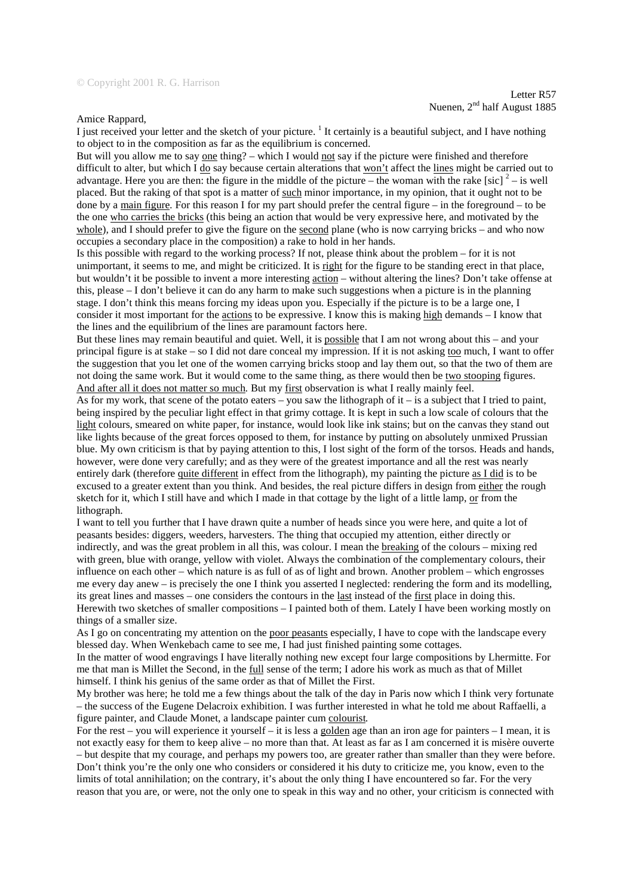Amice Rappard,

I just received your letter and the sketch of your picture.<sup>1</sup> It certainly is a beautiful subject, and I have nothing to object to in the composition as far as the equilibrium is concerned.

But will you allow me to say one thing? – which I would not say if the picture were finished and therefore difficult to alter, but which I do say because certain alterations that won't affect the lines might be carried out to advantage. Here you are then: the figure in the middle of the picture – the woman with the rake [sic]  $2$  – is well placed. But the raking of that spot is a matter of such minor importance, in my opinion, that it ought not to be done by a main figure*.* For this reason I for my part should prefer the central figure – in the foreground – to be the one who carries the bricks (this being an action that would be very expressive here, and motivated by the whole), and I should prefer to give the figure on the second plane (who is now carrying bricks – and who now occupies a secondary place in the composition) a rake to hold in her hands.

Is this possible with regard to the working process? If not, please think about the problem – for it is not unimportant, it seems to me, and might be criticized. It is right for the figure to be standing erect in that place, but wouldn't it be possible to invent a more interesting action – without altering the lines? Don't take offense at this, please – I don't believe it can do any harm to make such suggestions when a picture is in the planning stage. I don't think this means forcing my ideas upon you. Especially if the picture is to be a large one, I consider it most important for the actions to be expressive. I know this is making high demands – I know that the lines and the equilibrium of the lines are paramount factors here.

But these lines may remain beautiful and quiet. Well, it is possible that I am not wrong about this – and your principal figure is at stake – so I did not dare conceal my impression. If it is not asking too much, I want to offer the suggestion that you let one of the women carrying bricks stoop and lay them out, so that the two of them are not doing the same work. But it would come to the same thing, as there would then be two stooping figures. And after all it does not matter so much*.* But my first observation is what I really mainly feel.

As for my work, that scene of the potato eaters – you saw the lithograph of  $i - i$  is a subject that I tried to paint, being inspired by the peculiar light effect in that grimy cottage. It is kept in such a low scale of colours that the light colours, smeared on white paper, for instance, would look like ink stains; but on the canvas they stand out like lights because of the great forces opposed to them, for instance by putting on absolutely unmixed Prussian blue. My own criticism is that by paying attention to this, I lost sight of the form of the torsos. Heads and hands, however, were done very carefully; and as they were of the greatest importance and all the rest was nearly entirely dark (therefore quite different in effect from the lithograph), my painting the picture as I did is to be excused to a greater extent than you think. And besides, the real picture differs in design from either the rough sketch for it, which I still have and which I made in that cottage by the light of a little lamp, or from the lithograph.

I want to tell you further that I have drawn quite a number of heads since you were here, and quite a lot of peasants besides: diggers, weeders, harvesters. The thing that occupied my attention, either directly or indirectly, and was the great problem in all this, was colour. I mean the breaking of the colours – mixing red with green, blue with orange, yellow with violet. Always the combination of the complementary colours, their influence on each other – which nature is as full of as of light and brown. Another problem – which engrosses me every day anew – is precisely the one I think you asserted I neglected: rendering the form and its modelling, its great lines and masses – one considers the contours in the last instead of the first place in doing this. Herewith two sketches of smaller compositions – I painted both of them. Lately I have been working mostly on things of a smaller size.

As I go on concentrating my attention on the poor peasants especially, I have to cope with the landscape every blessed day. When Wenkebach came to see me, I had just finished painting some cottages.

In the matter of wood engravings I have literally nothing new except four large compositions by Lhermitte. For me that man is Millet the Second, in the full sense of the term; I adore his work as much as that of Millet himself. I think his genius of the same order as that of Millet the First.

My brother was here; he told me a few things about the talk of the day in Paris now which I think very fortunate – the success of the Eugene Delacroix exhibition. I was further interested in what he told me about Raffaelli, a figure painter, and Claude Monet, a landscape painter cum colourist*.*

For the rest – you will experience it yourself – it is less a golden age than an iron age for painters – I mean, it is not exactly easy for them to keep alive – no more than that. At least as far as I am concerned it is misère ouverte – but despite that my courage, and perhaps my powers too, are greater rather than smaller than they were before. Don't think you're the only one who considers or considered it his duty to criticize me, you know, even to the limits of total annihilation; on the contrary, it's about the only thing I have encountered so far. For the very reason that you are, or were, not the only one to speak in this way and no other, your criticism is connected with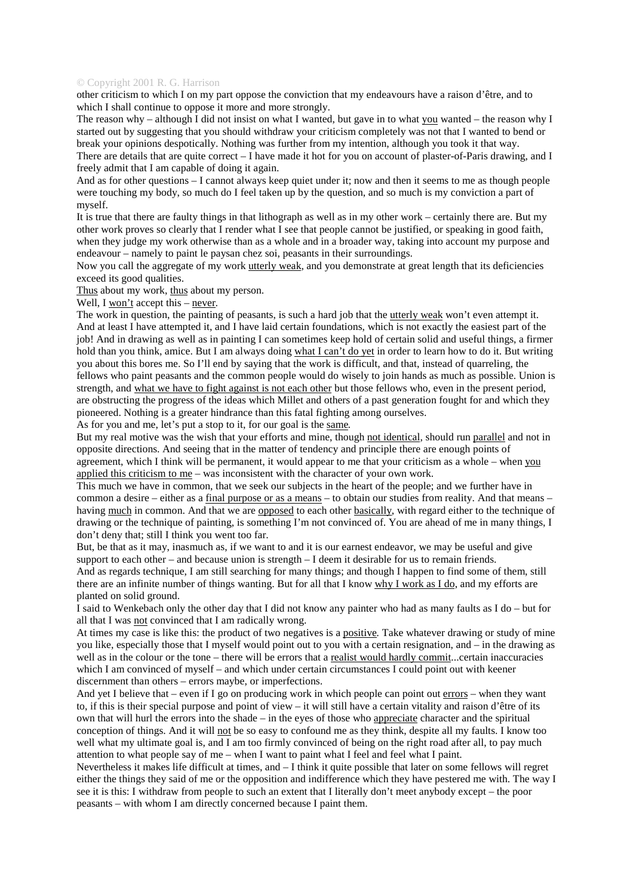## © Copyright 2001 R. G. Harrison

other criticism to which I on my part oppose the conviction that my endeavours have a raison d'être, and to which I shall continue to oppose it more and more strongly.

The reason why – although I did not insist on what I wanted, but gave in to what you wanted – the reason why I started out by suggesting that you should withdraw your criticism completely was not that I wanted to bend or break your opinions despotically. Nothing was further from my intention, although you took it that way. There are details that are quite correct – I have made it hot for you on account of plaster-of-Paris drawing, and I freely admit that I am capable of doing it again.

And as for other questions – I cannot always keep quiet under it; now and then it seems to me as though people were touching my body, so much do I feel taken up by the question, and so much is my conviction a part of myself.

It is true that there are faulty things in that lithograph as well as in my other work – certainly there are. But my other work proves so clearly that I render what I see that people cannot be justified, or speaking in good faith, when they judge my work otherwise than as a whole and in a broader way, taking into account my purpose and endeavour – namely to paint le paysan chez soi, peasants in their surroundings.

Now you call the aggregate of my work utterly weak*,* and you demonstrate at great length that its deficiencies exceed its good qualities.

Thus about my work, thus about my person.

Well, I won't accept this *–* never*.*

The work in question, the painting of peasants, is such a hard job that the utterly weak won't even attempt it. And at least I have attempted it, and I have laid certain foundations, which is not exactly the easiest part of the job! And in drawing as well as in painting I can sometimes keep hold of certain solid and useful things, a firmer hold than you think, amice. But I am always doing what I can't do yet in order to learn how to do it. But writing you about this bores me. So I'll end by saying that the work is difficult, and that, instead of quarreling, the fellows who paint peasants and the common people would do wisely to join hands as much as possible. Union is strength, and what we have to fight against is not each other but those fellows who, even in the present period, are obstructing the progress of the ideas which Millet and others of a past generation fought for and which they pioneered. Nothing is a greater hindrance than this fatal fighting among ourselves.

As for you and me, let's put a stop to it, for our goal is the same*.*

But my real motive was the wish that your efforts and mine, though not identical*,* should run parallel and not in opposite directions. And seeing that in the matter of tendency and principle there are enough points of agreement, which I think will be permanent, it would appear to me that your criticism as a whole – when you applied this criticism to me – was inconsistent with the character of your own work.

This much we have in common, that we seek our subjects in the heart of the people; and we further have in common a desire – either as a final purpose or as a means – to obtain our studies from reality. And that means – having much in common. And that we are opposed to each other basically, with regard either to the technique of drawing or the technique of painting, is something I'm not convinced of. You are ahead of me in many things, I don't deny that; still I think you went too far.

But, be that as it may, inasmuch as, if we want to and it is our earnest endeavor, we may be useful and give support to each other – and because union is strength – I deem it desirable for us to remain friends. And as regards technique, I am still searching for many things; and though I happen to find some of them, still there are an infinite number of things wanting. But for all that I know why I work as I do, and my efforts are planted on solid ground.

I said to Wenkebach only the other day that I did not know any painter who had as many faults as I do – but for all that I was not convinced that I am radically wrong.

At times my case is like this: the product of two negatives is a positive*.* Take whatever drawing or study of mine you like, especially those that I myself would point out to you with a certain resignation, and – in the drawing as well as in the colour or the tone – there will be errors that a <u>realist would hardly commit</u>...certain inaccuracies which I am convinced of myself – and which under certain circumstances I could point out with keener discernment than others – errors maybe, or imperfections.

And yet I believe that – even if I go on producing work in which people can point out errors – when they want to, if this is their special purpose and point of view – it will still have a certain vitality and raison d'être of its own that will hurl the errors into the shade – in the eyes of those who appreciate character and the spiritual conception of things. And it will not be so easy to confound me as they think, despite all my faults. I know too well what my ultimate goal is, and I am too firmly convinced of being on the right road after all, to pay much attention to what people say of me – when I want to paint what I feel and feel what I paint.

Nevertheless it makes life difficult at times, and – I think it quite possible that later on some fellows will regret either the things they said of me or the opposition and indifference which they have pestered me with. The way I see it is this: I withdraw from people to such an extent that I literally don't meet anybody except – the poor peasants – with whom I am directly concerned because I paint them.